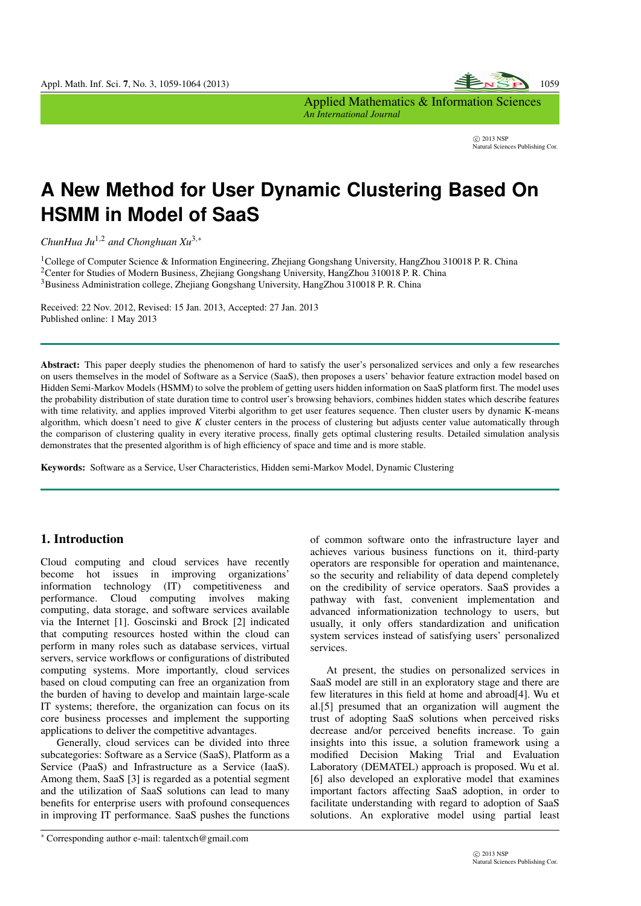

Applied Mathematics & Information Sciences *An International Journal*

> *⃝*c 2013 NSP Natural Sciences Publishing Cor.

# **A New Method for User Dynamic Clustering Based On HSMM in Model of SaaS**

*ChunHua Ju*1*,*<sup>2</sup> *and Chonghuan Xu*3*,<sup>∗</sup>*

<sup>1</sup>College of Computer Science & Information Engineering, Zhejiang Gongshang University, HangZhou 310018 P. R. China <sup>2</sup>Center for Studies of Modern Business, Zhejiang Gongshang University, HangZhou 310018 P. R. China  $3B$ usiness Administration college, Zheijang Gongshang University, HangZhou 310018 P. R. China

Received: 22 Nov. 2012, Revised: 15 Jan. 2013, Accepted: 27 Jan. 2013 Published online: 1 May 2013

Abstract: This paper deeply studies the phenomenon of hard to satisfy the user's personalized services and only a few researches on users themselves in the model of Software as a Service (SaaS), then proposes a users' behavior feature extraction model based on Hidden Semi-Markov Models (HSMM) to solve the problem of getting users hidden information on SaaS platform first. The model uses the probability distribution of state duration time to control user's browsing behaviors, combines hidden states which describe features with time relativity, and applies improved Viterbi algorithm to get user features sequence. Then cluster users by dynamic K-means algorithm, which doesn't need to give *K* cluster centers in the process of clustering but adjusts center value automatically through the comparison of clustering quality in every iterative process, finally gets optimal clustering results. Detailed simulation analysis demonstrates that the presented algorithm is of high efficiency of space and time and is more stable.

Keywords: Software as a Service, User Characteristics, Hidden semi-Markov Model, Dynamic Clustering

# 1. Introduction

Cloud computing and cloud services have recently become hot issues in improving organizations' information technology (IT) competitiveness and performance. Cloud computing involves making computing, data storage, and software services available via the Internet [1]. Goscinski and Brock [2] indicated that computing resources hosted within the cloud can perform in many roles such as database services, virtual servers, service workflows or configurations of distributed computing systems. More importantly, cloud services based on cloud computing can free an organization from the burden of having to develop and maintain large-scale IT systems; therefore, the organization can focus on its core business processes and implement the supporting applications to deliver the competitive advantages.

Generally, cloud services can be divided into three subcategories: Software as a Service (SaaS), Platform as a Service (PaaS) and Infrastructure as a Service (IaaS). Among them, SaaS [3] is regarded as a potential segment and the utilization of SaaS solutions can lead to many benefits for enterprise users with profound consequences in improving IT performance. SaaS pushes the functions of common software onto the infrastructure layer and achieves various business functions on it, third-party operators are responsible for operation and maintenance, so the security and reliability of data depend completely on the credibility of service operators. SaaS provides a pathway with fast, convenient implementation and advanced informationization technology to users, but usually, it only offers standardization and unification system services instead of satisfying users' personalized services.

At present, the studies on personalized services in SaaS model are still in an exploratory stage and there are few literatures in this field at home and abroad[4]. Wu et al.[5] presumed that an organization will augment the trust of adopting SaaS solutions when perceived risks decrease and/or perceived benefits increase. To gain insights into this issue, a solution framework using a modified Decision Making Trial and Evaluation Laboratory (DEMATEL) approach is proposed. Wu et al. [6] also developed an explorative model that examines important factors affecting SaaS adoption, in order to facilitate understanding with regard to adoption of SaaS solutions. An explorative model using partial least

*<sup>∗</sup>* Corresponding author e-mail: talentxch@gmail.com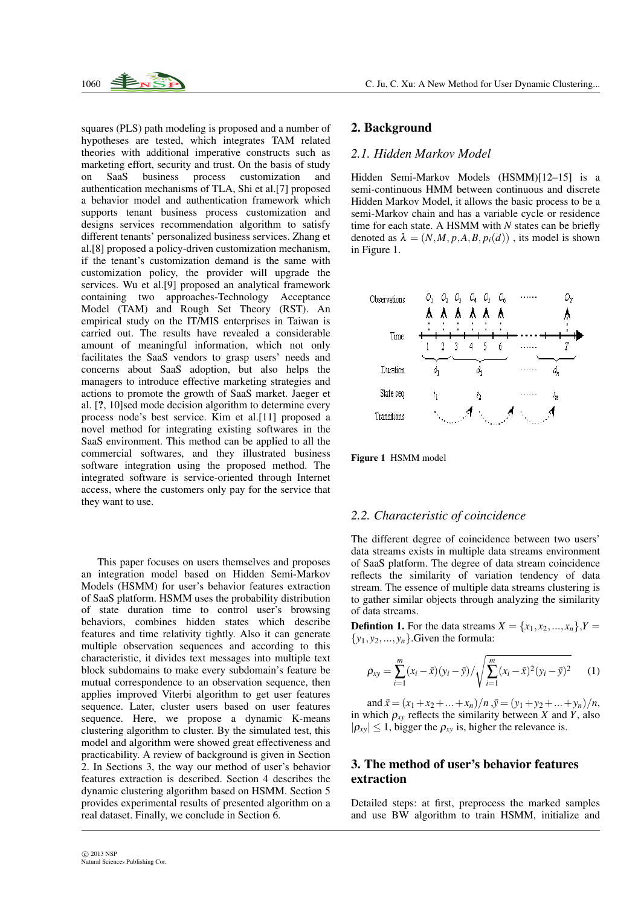

squares (PLS) path modeling is proposed and a number of hypotheses are tested, which integrates TAM related theories with additional imperative constructs such as marketing effort, security and trust. On the basis of study on SaaS business process customization and authentication mechanisms of TLA, Shi et al.[7] proposed a behavior model and authentication framework which supports tenant business process customization and designs services recommendation algorithm to satisfy different tenants' personalized business services. Zhang et al.[8] proposed a policy-driven customization mechanism, if the tenant's customization demand is the same with customization policy, the provider will upgrade the services. Wu et al.[9] proposed an analytical framework containing two approaches-Technology Acceptance Model (TAM) and Rough Set Theory (RST). An empirical study on the IT/MIS enterprises in Taiwan is carried out. The results have revealed a considerable amount of meaningful information, which not only facilitates the SaaS vendors to grasp users' needs and concerns about SaaS adoption, but also helps the managers to introduce effective marketing strategies and actions to promote the growth of SaaS market. Jaeger et al. [?, 10]sed mode decision algorithm to determine every process node's best service. Kim et al.[11] proposed a novel method for integrating existing softwares in the SaaS environment. This method can be applied to all the commercial softwares, and they illustrated business software integration using the proposed method. The integrated software is service-oriented through Internet access, where the customers only pay for the service that they want to use.

This paper focuses on users themselves and proposes an integration model based on Hidden Semi-Markov Models (HSMM) for user's behavior features extraction of SaaS platform. HSMM uses the probability distribution of state duration time to control user's browsing behaviors, combines hidden states which describe features and time relativity tightly. Also it can generate multiple observation sequences and according to this characteristic, it divides text messages into multiple text block subdomains to make every subdomain's feature be mutual correspondence to an observation sequence, then applies improved Viterbi algorithm to get user features sequence. Later, cluster users based on user features sequence. Here, we propose a dynamic K-means clustering algorithm to cluster. By the simulated test, this model and algorithm were showed great effectiveness and practicability. A review of background is given in Section 2. In Sections 3, the way our method of user's behavior features extraction is described. Section 4 describes the dynamic clustering algorithm based on HSMM. Section 5 provides experimental results of presented algorithm on a real dataset. Finally, we conclude in Section 6.

# 2. Background

#### *2.1. Hidden Markov Model*

Hidden Semi-Markov Models (HSMM)[12–15] is a semi-continuous HMM between continuous and discrete Hidden Markov Model, it allows the basic process to be a semi-Markov chain and has a variable cycle or residence time for each state. A HSMM with *N* states can be briefly denoted as  $\lambda = (N, M, p, A, B, p_i(d))$ , its model is shown in Figure 1.



Figure 1 HSMM model

#### *2.2. Characteristic of coincidence*

The different degree of coincidence between two users' data streams exists in multiple data streams environment of SaaS platform. The degree of data stream coincidence reflects the similarity of variation tendency of data stream. The essence of multiple data streams clustering is to gather similar objects through analyzing the similarity of data streams.

**Defintion 1.** For the data streams  $X = \{x_1, x_2, ..., x_n\}$ ,  $Y =$  $\{y_1, y_2, \ldots, y_n\}$ . Given the formula:

$$
\rho_{xy} = \sum_{i=1}^{m} (x_i - \bar{x})(y_i - \bar{y}) / \sqrt{\sum_{i=1}^{m} (x_i - \bar{x})^2 (y_i - \bar{y})^2}
$$
 (1)

and  $\bar{x} = (x_1 + x_2 + ... + x_n)/n$ ,  $\bar{y} = (y_1 + y_2 + ... + y_n)/n$ , in which  $\rho_{xy}$  reflects the similarity between *X* and *Y*, also  $|\rho_{xy}|$  < 1, bigger the  $\rho_{xy}$  is, higher the relevance is.

# 3. The method of user's behavior features extraction

Detailed steps: at first, preprocess the marked samples and use BW algorithm to train HSMM, initialize and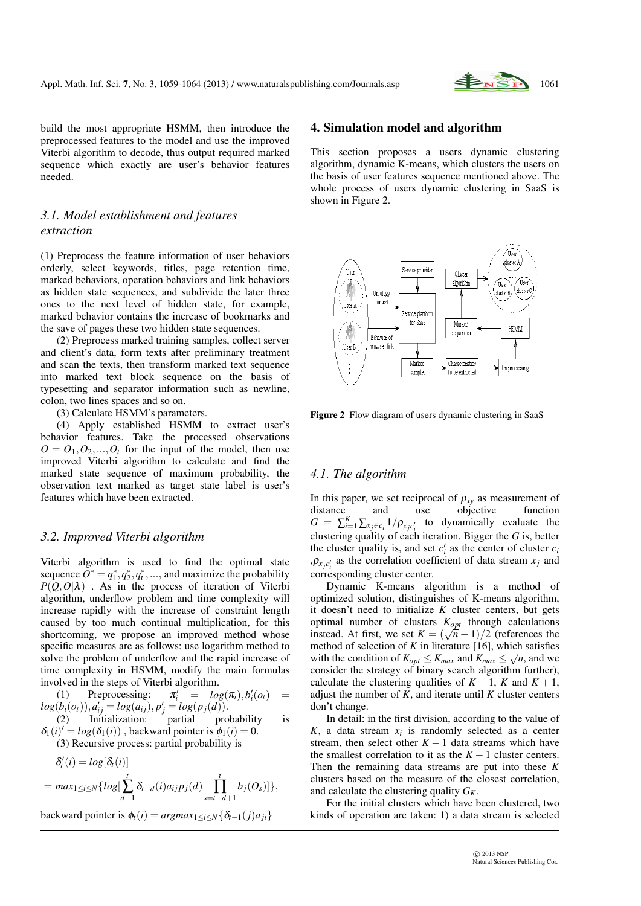

build the most appropriate HSMM, then introduce the preprocessed features to the model and use the improved Viterbi algorithm to decode, thus output required marked sequence which exactly are user's behavior features needed.

# *3.1. Model establishment and features extraction*

(1) Preprocess the feature information of user behaviors orderly, select keywords, titles, page retention time, marked behaviors, operation behaviors and link behaviors as hidden state sequences, and subdivide the later three ones to the next level of hidden state, for example, marked behavior contains the increase of bookmarks and the save of pages these two hidden state sequences.

(2) Preprocess marked training samples, collect server and client's data, form texts after preliminary treatment and scan the texts, then transform marked text sequence into marked text block sequence on the basis of typesetting and separator information such as newline, colon, two lines spaces and so on.

(3) Calculate HSMM's parameters.

(4) Apply established HSMM to extract user's behavior features. Take the processed observations  $O = O_1, O_2, \ldots, O_t$  for the input of the model, then use improved Viterbi algorithm to calculate and find the marked state sequence of maximum probability, the observation text marked as target state label is user's features which have been extracted.

#### *3.2. Improved Viterbi algorithm*

Viterbi algorithm is used to find the optimal state sequence  $O^* = q_1^*, q_2^*, q_t^*, \dots$ , and maximize the probability  $P(Q, O|\lambda)$  . As in the process of iteration of Viterbi algorithm, underflow problem and time complexity will increase rapidly with the increase of constraint length caused by too much continual multiplication, for this shortcoming, we propose an improved method whose specific measures are as follows: use logarithm method to solve the problem of underflow and the rapid increase of time complexity in HSMM, modify the main formulas involved in the steps of Viterbi algorithm.

 $(1)$  Preprocessing:  $log(i)$ ,  $b'_{i}(o_{t})$  =  $log(b_i(o_i)), a'_{ij} = log(a_{ij}), p'_{j} = log(p_j(d)).$ (2) Initialization: partial probability is

 $\delta_1(i)' = log(\delta_1(i))$ , backward pointer is  $\phi_1(i) = 0$ .

(3) Recursive process: partial probability is

$$
\delta'_{t}(i) = log[\delta_{t}(i)]
$$
\n
$$
= max_{1 \leq i \leq N} \{log[\sum_{d=1}^{t} \delta_{t-d}(i)a_{ij}p_{j}(d) \prod_{s=t-d+1}^{t} b_{j}(O_{s})]\},
$$

 $\text{backward pointer is } \phi_t(i) = \text{argmax}_{1 \leq i \leq N} \{ \delta_{t-1}(j) a_{ii} \}$ 

#### 4. Simulation model and algorithm

This section proposes a users dynamic clustering algorithm, dynamic K-means, which clusters the users on the basis of user features sequence mentioned above. The whole process of users dynamic clustering in SaaS is shown in Figure 2.



Figure 2 Flow diagram of users dynamic clustering in SaaS

## *4.1. The algorithm*

In this paper, we set reciprocal of  $\rho_{xy}$  as measurement of distance and use objective function distance and use objective function  $G = \sum_{i=1}^{K} \sum_{x_j \in c_i} 1/p_{x_j c'_i}$  to dynamically evaluate the clustering quality of each iteration. Bigger the *G* is, better the cluster quality is, and set  $c_i'$  as the center of cluster  $c_i$  $P_{x_jc'_i}$  as the correlation coefficient of data stream  $x_j$  and corresponding cluster center.

Dynamic K-means algorithm is a method of optimized solution, distinguishes of K-means algorithm, it doesn't need to initialize *K* cluster centers, but gets optimal number of clusters  $K_{opt}$  through calculations instead. At first, we set  $K = (\sqrt{n} - 1)/2$  (references the method of selection of *K* in literature [16], which satisfies with the condition of  $K_{opt} \le K_{max}$  and  $K_{max} \le \sqrt{n}$ , and we consider the strategy of binary search algorithm further), calculate the clustering qualities of  $K - 1$ ,  $K$  and  $K + 1$ , adjust the number of  $K$ , and iterate until  $K$  cluster centers don't change.

In detail: in the first division, according to the value of  $K$ , a data stream  $x_i$  is randomly selected as a center stream, then select other  $K - 1$  data streams which have the smallest correlation to it as the  $K-1$  cluster centers. Then the remaining data streams are put into these *K* clusters based on the measure of the closest correlation, and calculate the clustering quality *GK*.

For the initial clusters which have been clustered, two kinds of operation are taken: 1) a data stream is selected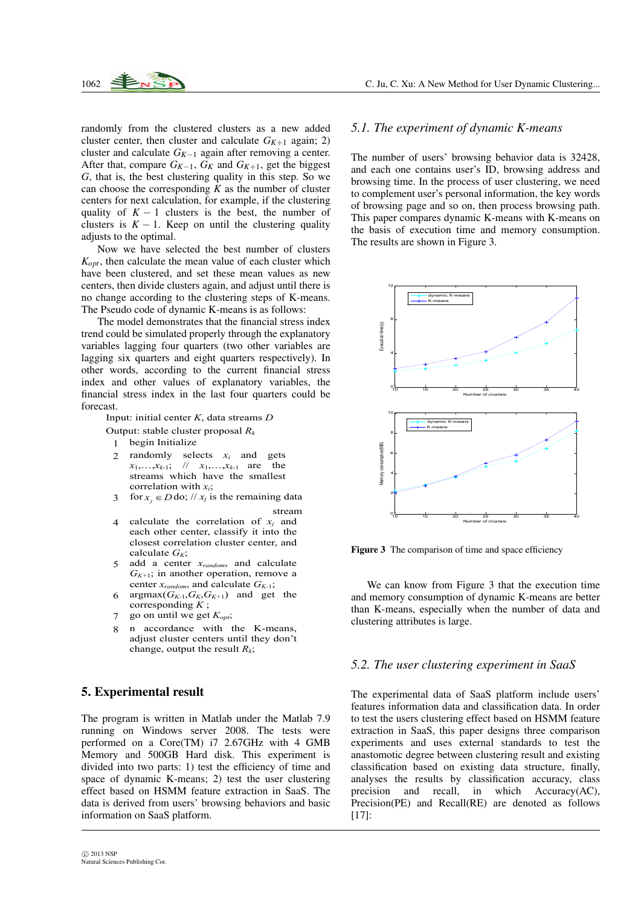

randomly from the clustered clusters as a new added cluster center, then cluster and calculate  $G_{K+1}$  again; 2) cluster and calculate *GK−*<sup>1</sup> again after removing a center. After that, compare  $G_{K-1}$ ,  $G_K$  and  $G_{K+1}$ , get the biggest *G*, that is, the best clustering quality in this step. So we can choose the corresponding  $K$  as the number of cluster centers for next calculation, for example, if the clustering quality of  $K - 1$  clusters is the best, the number of clusters is  $K - 1$ . Keep on until the clustering quality adjusts to the optimal.

Now we have selected the best number of clusters *Kopt*, then calculate the mean value of each cluster which have been clustered, and set these mean values as new centers, then divide clusters again, and adjust until there is no change according to the clustering steps of K-means. The Pseudo code of dynamic K-means is as follows:

The model demonstrates that the financial stress index trend could be simulated properly through the explanatory variables lagging four quarters (two other variables are lagging six quarters and eight quarters respectively). In other words, according to the current financial stress index and other values of explanatory variables, the financial stress index in the last four quarters could be forecast.

Input: initial center *K*, data streams *D*

- Output: stable cluster proposal *R<sup>k</sup>*
	- 1 begin Initialize
	- 2 randomly selects *xi* and gets  $x_1, \ldots, x_{k-1}$ ; //  $x_1, \ldots, x_{k-1}$  are the streams which have the smallest correlation with *xi*;
	- 3 for  $x_j \in D$  do; //  $x_j$  is the remaining data stream
	- 4 calculate the correlation of *xj* and each other center, classify it into the closest correlation cluster center, and calculate  $G_K$ ;
	- 5 add a center *xrandom*, and calculate *GK+*1; in another operation, remove a center *xrandom*, and calculate *GK-*1;
	- 6 argmax $(G_{K-1}, G_K, G_{K+1})$  and get the corresponding *K* ;
	- 7 go on until we get *Kopt*;
	- 8 n accordance with the K-means, adjust cluster centers until they don't change, output the result *Rk*;

## 5. Experimental result

The program is written in Matlab under the Matlab 7.9 running on Windows server 2008. The tests were performed on a Core(TM) i7 2.67GHz with 4 GMB Memory and 500GB Hard disk. This experiment is divided into two parts: 1) test the efficiency of time and space of dynamic K-means; 2) test the user clustering effect based on HSMM feature extraction in SaaS. The data is derived from users' browsing behaviors and basic information on SaaS platform.

# *5.1. The experiment of dynamic K-means*

The number of users' browsing behavior data is 32428, and each one contains user's ID, browsing address and browsing time. In the process of user clustering, we need to complement user's personal information, the key words of browsing page and so on, then process browsing path. This paper compares dynamic K-means with K-means on the basis of execution time and memory consumption. The results are shown in Figure 3.



Figure 3 The comparison of time and space efficiency

We can know from Figure 3 that the execution time and memory consumption of dynamic K-means are better than K-means, especially when the number of data and clustering attributes is large.

## *5.2. The user clustering experiment in SaaS*

The experimental data of SaaS platform include users' features information data and classification data. In order to test the users clustering effect based on HSMM feature extraction in SaaS, this paper designs three comparison experiments and uses external standards to test the anastomotic degree between clustering result and existing classification based on existing data structure, finally, analyses the results by classification accuracy, class precision and recall, in which Accuracy(AC), Precision(PE) and Recall(RE) are denoted as follows [17]: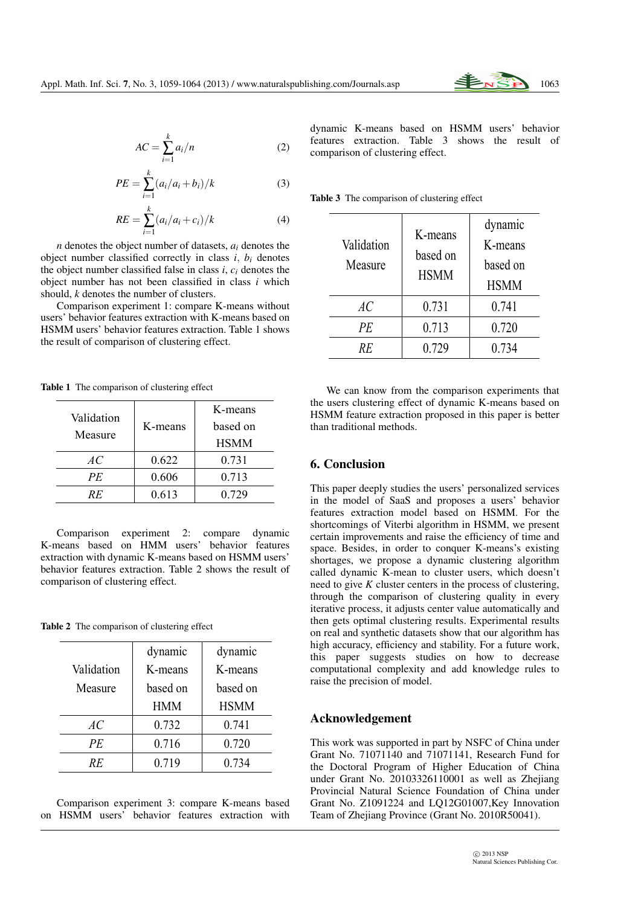

$$
AC = \sum_{i=1}^{k} a_i / n \tag{2}
$$

$$
PE = \sum_{i=1}^{k} (a_i/a_i + b_i)/k
$$
 (3)

$$
RE = \sum_{i=1}^{k} (a_i/a_i + c_i)/k
$$
 (4)

*n* denotes the object number of datasets, *a<sup>i</sup>* denotes the object number classified correctly in class  $i$ ,  $b_i$  denotes the object number classified false in class *i*, *c<sup>i</sup>* denotes the object number has not been classified in class *i* which should, *k* denotes the number of clusters.

Comparison experiment 1: compare K-means without users' behavior features extraction with K-means based on HSMM users' behavior features extraction. Table 1 shows the result of comparison of clustering effect.

Table 1 The comparison of clustering effect

| Validation<br>Measure | K-means | K-means     |
|-----------------------|---------|-------------|
|                       |         | based on    |
|                       |         | <b>HSMM</b> |
| AC                    | 0.622   | 0.731       |
| PE                    | 0.606   | 0.713       |
| RE                    | 0.613   | 0.729       |

Comparison experiment 2: compare dynamic K-means based on HMM users' behavior features extraction with dynamic K-means based on HSMM users' behavior features extraction. Table 2 shows the result of comparison of clustering effect.

Table 2 The comparison of clustering effect

|            | dynamic    | dynamic     |
|------------|------------|-------------|
| Validation | K-means    | K-means     |
| Measure    | based on   | based on    |
|            | <b>HMM</b> | <b>HSMM</b> |
| AC.        | 0.732      | 0.741       |
| PE         | 0.716      | 0.720       |
| RF         | 0.719      | 0.734       |

Comparison experiment 3: compare K-means based on HSMM users' behavior features extraction with dynamic K-means based on HSMM users' behavior features extraction. Table 3 shows the result of comparison of clustering effect.

Table 3 The comparison of clustering effect

| Validation<br>Measure | K-means<br>based on<br><b>HSMM</b> | dynamic<br>K-means<br>based on<br><b>HSMM</b> |
|-----------------------|------------------------------------|-----------------------------------------------|
| AC                    | 0.731                              | 0.741                                         |
| PE                    | 0.713                              | 0.720                                         |
| RF                    | 0.729                              | 0.734                                         |

We can know from the comparison experiments that the users clustering effect of dynamic K-means based on HSMM feature extraction proposed in this paper is better than traditional methods.

# 6. Conclusion

This paper deeply studies the users' personalized services in the model of SaaS and proposes a users' behavior features extraction model based on HSMM. For the shortcomings of Viterbi algorithm in HSMM, we present certain improvements and raise the efficiency of time and space. Besides, in order to conquer K-means's existing shortages, we propose a dynamic clustering algorithm called dynamic K-mean to cluster users, which doesn't need to give *K* cluster centers in the process of clustering, through the comparison of clustering quality in every iterative process, it adjusts center value automatically and then gets optimal clustering results. Experimental results on real and synthetic datasets show that our algorithm has high accuracy, efficiency and stability. For a future work, this paper suggests studies on how to decrease computational complexity and add knowledge rules to raise the precision of model.

## Acknowledgement

This work was supported in part by NSFC of China under Grant No. 71071140 and 71071141, Research Fund for the Doctoral Program of Higher Education of China under Grant No. 20103326110001 as well as Zhejiang Provincial Natural Science Foundation of China under Grant No. Z1091224 and LQ12G01007,Key Innovation Team of Zhejiang Province (Grant No. 2010R50041).